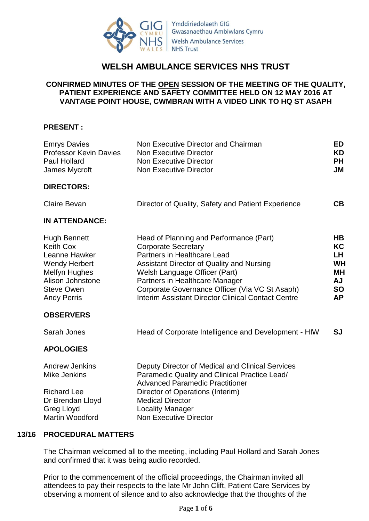

# **WELSH AMBULANCE SERVICES NHS TRUST**

# **CONFIRMED MINUTES OF THE OPEN SESSION OF THE MEETING OF THE QUALITY, PATIENT EXPERIENCE AND SAFETY COMMITTEE HELD ON 12 MAY 2016 AT VANTAGE POINT HOUSE, CWMBRAN WITH A VIDEO LINK TO HQ ST ASAPH**

# **PRESENT :**

| <b>Emrys Davies</b><br><b>Professor Kevin Davies</b><br><b>Paul Hollard</b><br>James Mycroft                                                                     | Non Executive Director and Chairman<br><b>Non Executive Director</b><br><b>Non Executive Director</b><br><b>Non Executive Director</b>                                                                                                                                                                                       | <b>ED</b><br><b>KD</b><br><b>PH</b><br><b>JM</b>                                        |
|------------------------------------------------------------------------------------------------------------------------------------------------------------------|------------------------------------------------------------------------------------------------------------------------------------------------------------------------------------------------------------------------------------------------------------------------------------------------------------------------------|-----------------------------------------------------------------------------------------|
| <b>DIRECTORS:</b>                                                                                                                                                |                                                                                                                                                                                                                                                                                                                              |                                                                                         |
| Claire Bevan                                                                                                                                                     | Director of Quality, Safety and Patient Experience                                                                                                                                                                                                                                                                           | CB                                                                                      |
| <b>IN ATTENDANCE:</b>                                                                                                                                            |                                                                                                                                                                                                                                                                                                                              |                                                                                         |
| <b>Hugh Bennett</b><br><b>Keith Cox</b><br>Leanne Hawker<br><b>Wendy Herbert</b><br><b>Melfyn Hughes</b><br>Alison Johnstone<br>Steve Owen<br><b>Andy Perris</b> | Head of Planning and Performance (Part)<br><b>Corporate Secretary</b><br>Partners in Healthcare Lead<br>Assistant Director of Quality and Nursing<br>Welsh Language Officer (Part)<br>Partners in Healthcare Manager<br>Corporate Governance Officer (Via VC St Asaph)<br>Interim Assistant Director Clinical Contact Centre | <b>HB</b><br>KC<br>LH.<br><b>WH</b><br><b>MH</b><br><b>AJ</b><br><b>SO</b><br><b>AP</b> |
| <b>OBSERVERS</b>                                                                                                                                                 |                                                                                                                                                                                                                                                                                                                              |                                                                                         |
| Sarah Jones                                                                                                                                                      | Head of Corporate Intelligence and Development - HIW                                                                                                                                                                                                                                                                         | <b>SJ</b>                                                                               |
| <b>APOLOGIES</b>                                                                                                                                                 |                                                                                                                                                                                                                                                                                                                              |                                                                                         |
| <b>Andrew Jenkins</b><br><b>Mike Jenkins</b><br><b>Richard Lee</b><br>Dr Brendan Lloyd<br><b>Greg Lloyd</b><br><b>Martin Woodford</b>                            | Deputy Director of Medical and Clinical Services<br>Paramedic Quality and Clinical Practice Lead/<br><b>Advanced Paramedic Practitioner</b><br>Director of Operations (Interim)<br><b>Medical Director</b><br><b>Locality Manager</b><br><b>Non Executive Director</b>                                                       |                                                                                         |

## **13/16 PROCEDURAL MATTERS**

The Chairman welcomed all to the meeting, including Paul Hollard and Sarah Jones and confirmed that it was being audio recorded.

Prior to the commencement of the official proceedings, the Chairman invited all attendees to pay their respects to the late Mr John Clift, Patient Care Services by observing a moment of silence and to also acknowledge that the thoughts of the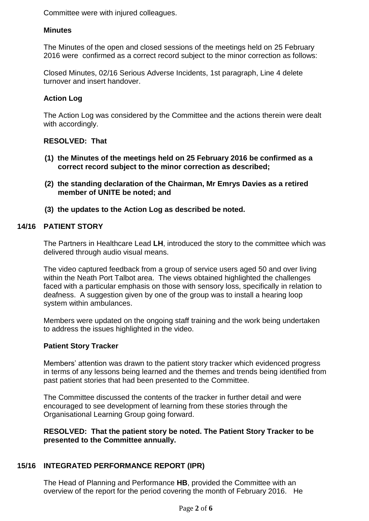Committee were with injured colleagues.

# **Minutes**

The Minutes of the open and closed sessions of the meetings held on 25 February 2016 were confirmed as a correct record subject to the minor correction as follows:

Closed Minutes, 02/16 Serious Adverse Incidents, 1st paragraph, Line 4 delete turnover and insert handover.

# **Action Log**

The Action Log was considered by the Committee and the actions therein were dealt with accordingly.

# **RESOLVED: That**

- **(1) the Minutes of the meetings held on 25 February 2016 be confirmed as a correct record subject to the minor correction as described;**
- **(2) the standing declaration of the Chairman, Mr Emrys Davies as a retired member of UNITE be noted; and**
- **(3) the updates to the Action Log as described be noted.**

# **14/16 PATIENT STORY**

The Partners in Healthcare Lead **LH**, introduced the story to the committee which was delivered through audio visual means.

The video captured feedback from a group of service users aged 50 and over living within the Neath Port Talbot area. The views obtained highlighted the challenges faced with a particular emphasis on those with sensory loss, specifically in relation to deafness. A suggestion given by one of the group was to install a hearing loop system within ambulances.

Members were updated on the ongoing staff training and the work being undertaken to address the issues highlighted in the video.

## **Patient Story Tracker**

Members' attention was drawn to the patient story tracker which evidenced progress in terms of any lessons being learned and the themes and trends being identified from past patient stories that had been presented to the Committee.

The Committee discussed the contents of the tracker in further detail and were encouraged to see development of learning from these stories through the Organisational Learning Group going forward.

## **RESOLVED: That the patient story be noted. The Patient Story Tracker to be presented to the Committee annually.**

# **15/16 INTEGRATED PERFORMANCE REPORT (IPR)**

The Head of Planning and Performance **HB**, provided the Committee with an overview of the report for the period covering the month of February 2016. He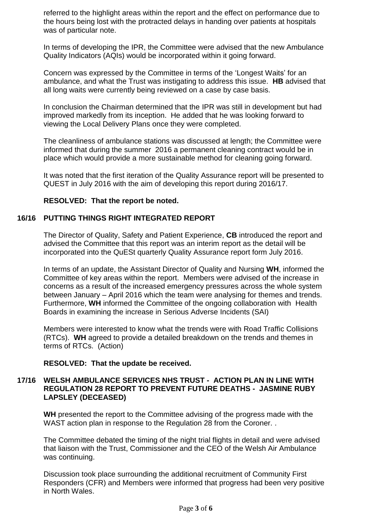referred to the highlight areas within the report and the effect on performance due to the hours being lost with the protracted delays in handing over patients at hospitals was of particular note.

In terms of developing the IPR, the Committee were advised that the new Ambulance Quality Indicators (AQIs) would be incorporated within it going forward.

Concern was expressed by the Committee in terms of the 'Longest Waits' for an ambulance, and what the Trust was instigating to address this issue. **HB** advised that all long waits were currently being reviewed on a case by case basis.

In conclusion the Chairman determined that the IPR was still in development but had improved markedly from its inception. He added that he was looking forward to viewing the Local Delivery Plans once they were completed.

The cleanliness of ambulance stations was discussed at length; the Committee were informed that during the summer 2016 a permanent cleaning contract would be in place which would provide a more sustainable method for cleaning going forward.

It was noted that the first iteration of the Quality Assurance report will be presented to QUEST in July 2016 with the aim of developing this report during 2016/17.

## **RESOLVED: That the report be noted.**

## **16/16 PUTTING THINGS RIGHT INTEGRATED REPORT**

The Director of Quality, Safety and Patient Experience, **CB** introduced the report and advised the Committee that this report was an interim report as the detail will be incorporated into the QuESt quarterly Quality Assurance report form July 2016.

In terms of an update, the Assistant Director of Quality and Nursing **WH**, informed the Committee of key areas within the report. Members were advised of the increase in concerns as a result of the increased emergency pressures across the whole system between January – April 2016 which the team were analysing for themes and trends. Furthermore, **WH** informed the Committee of the ongoing collaboration with Health Boards in examining the increase in Serious Adverse Incidents (SAI)

Members were interested to know what the trends were with Road Traffic Collisions (RTCs). **WH** agreed to provide a detailed breakdown on the trends and themes in terms of RTCs. (Action)

## **RESOLVED: That the update be received.**

#### **17/16 WELSH AMBULANCE SERVICES NHS TRUST - ACTION PLAN IN LINE WITH REGULATION 28 REPORT TO PREVENT FUTURE DEATHS - JASMINE RUBY LAPSLEY (DECEASED)**

**WH** presented the report to the Committee advising of the progress made with the WAST action plan in response to the Regulation 28 from the Coroner...

The Committee debated the timing of the night trial flights in detail and were advised that liaison with the Trust, Commissioner and the CEO of the Welsh Air Ambulance was continuing.

Discussion took place surrounding the additional recruitment of Community First Responders (CFR) and Members were informed that progress had been very positive in North Wales.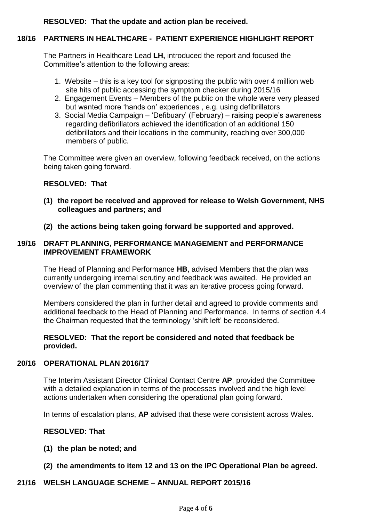# **RESOLVED: That the update and action plan be received.**

# **18/16 PARTNERS IN HEALTHCARE - PATIENT EXPERIENCE HIGHLIGHT REPORT**

The Partners in Healthcare Lead **LH,** introduced the report and focused the Committee's attention to the following areas:

- 1. Website this is a key tool for signposting the public with over 4 million web site hits of public accessing the symptom checker during 2015/16
- 2. Engagement Events Members of the public on the whole were very pleased but wanted more 'hands on' experiences , e.g. using defibrillators
- 3. Social Media Campaign 'Defibuary' (February) raising people's awareness regarding defibrillators achieved the identification of an additional 150 defibrillators and their locations in the community, reaching over 300,000 members of public.

The Committee were given an overview, following feedback received, on the actions being taken going forward.

#### **RESOLVED: That**

- **(1) the report be received and approved for release to Welsh Government, NHS colleagues and partners; and**
- **(2) the actions being taken going forward be supported and approved.**

#### **19/16 DRAFT PLANNING, PERFORMANCE MANAGEMENT and PERFORMANCE IMPROVEMENT FRAMEWORK**

The Head of Planning and Performance **HB**, advised Members that the plan was currently undergoing internal scrutiny and feedback was awaited. He provided an overview of the plan commenting that it was an iterative process going forward.

Members considered the plan in further detail and agreed to provide comments and additional feedback to the Head of Planning and Performance. In terms of section 4.4 the Chairman requested that the terminology 'shift left' be reconsidered.

#### **RESOLVED: That the report be considered and noted that feedback be provided.**

# **20/16 OPERATIONAL PLAN 2016/17**

The Interim Assistant Director Clinical Contact Centre **AP**, provided the Committee with a detailed explanation in terms of the processes involved and the high level actions undertaken when considering the operational plan going forward.

In terms of escalation plans, **AP** advised that these were consistent across Wales.

## **RESOLVED: That**

- **(1) the plan be noted; and**
- **(2) the amendments to item 12 and 13 on the IPC Operational Plan be agreed.**

#### **21/16 WELSH LANGUAGE SCHEME – ANNUAL REPORT 2015/16**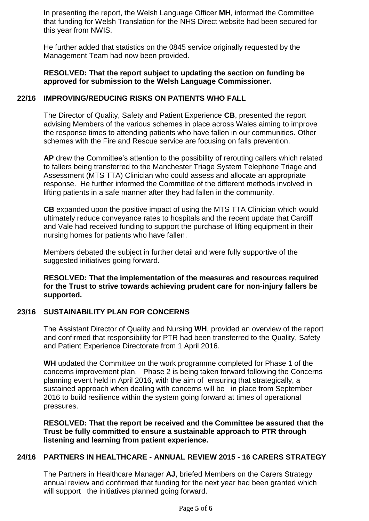In presenting the report, the Welsh Language Officer **MH**, informed the Committee that funding for Welsh Translation for the NHS Direct website had been secured for this year from NWIS.

He further added that statistics on the 0845 service originally requested by the Management Team had now been provided.

# **RESOLVED: That the report subject to updating the section on funding be approved for submission to the Welsh Language Commissioner.**

#### **22/16 IMPROVING/REDUCING RISKS ON PATIENTS WHO FALL**

The Director of Quality, Safety and Patient Experience **CB**, presented the report advising Members of the various schemes in place across Wales aiming to improve the response times to attending patients who have fallen in our communities. Other schemes with the Fire and Rescue service are focusing on falls prevention.

**AP** drew the Committee's attention to the possibility of rerouting callers which related to fallers being transferred to the Manchester Triage System Telephone Triage and Assessment (MTS TTA) Clinician who could assess and allocate an appropriate response. He further informed the Committee of the different methods involved in lifting patients in a safe manner after they had fallen in the community.

**CB** expanded upon the positive impact of using the MTS TTA Clinician which would ultimately reduce conveyance rates to hospitals and the recent update that Cardiff and Vale had received funding to support the purchase of lifting equipment in their nursing homes for patients who have fallen.

Members debated the subject in further detail and were fully supportive of the suggested initiatives going forward.

**RESOLVED: That the implementation of the measures and resources required for the Trust to strive towards achieving prudent care for non-injury fallers be supported.**

## **23/16 SUSTAINABILITY PLAN FOR CONCERNS**

The Assistant Director of Quality and Nursing **WH**, provided an overview of the report and confirmed that responsibility for PTR had been transferred to the Quality, Safety and Patient Experience Directorate from 1 April 2016.

**WH** updated the Committee on the work programme completed for Phase 1 of the concerns improvement plan. Phase 2 is being taken forward following the Concerns planning event held in April 2016, with the aim of ensuring that strategically, a sustained approach when dealing with concerns will be in place from September 2016 to build resilience within the system going forward at times of operational pressures.

**RESOLVED: That the report be received and the Committee be assured that the Trust be fully committed to ensure a sustainable approach to PTR through listening and learning from patient experience.**

# **24/16 PARTNERS IN HEALTHCARE - ANNUAL REVIEW 2015 - 16 CARERS STRATEGY**

The Partners in Healthcare Manager **AJ**, briefed Members on the Carers Strategy annual review and confirmed that funding for the next year had been granted which will support the initiatives planned going forward.